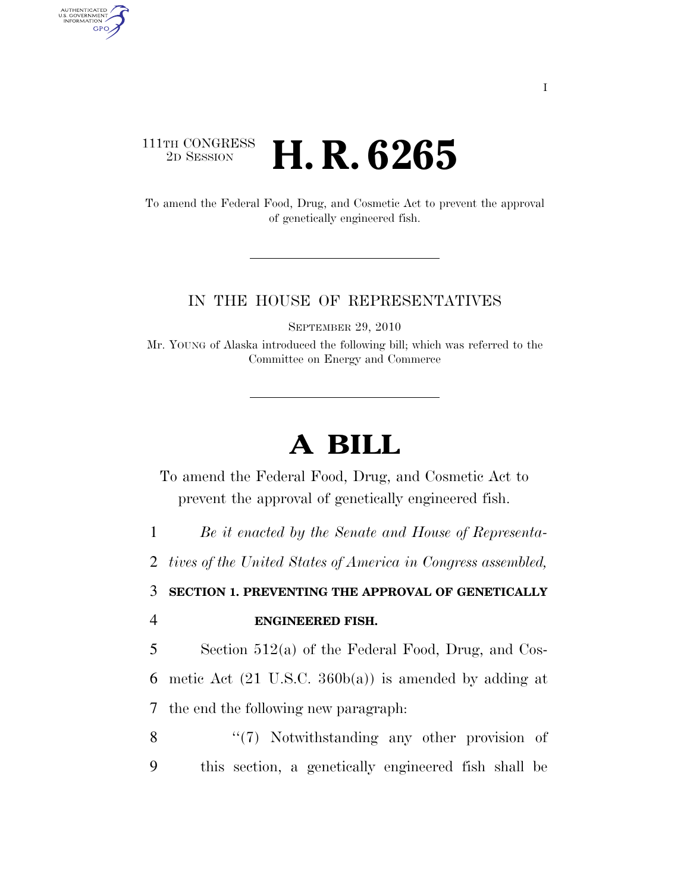## 111TH CONGRESS <sup>2D SESSION</sup> **H. R. 6265**

AUTHENTICATED<br>U.S. GOVERNMENT<br>INFORMATION GPO

> To amend the Federal Food, Drug, and Cosmetic Act to prevent the approval of genetically engineered fish.

## IN THE HOUSE OF REPRESENTATIVES

SEPTEMBER 29, 2010

Mr. YOUNG of Alaska introduced the following bill; which was referred to the Committee on Energy and Commerce

## **A BILL**

To amend the Federal Food, Drug, and Cosmetic Act to prevent the approval of genetically engineered fish.

1 *Be it enacted by the Senate and House of Representa-*

2 *tives of the United States of America in Congress assembled,* 

3 **SECTION 1. PREVENTING THE APPROVAL OF GENETICALLY**  4 **ENGINEERED FISH.** 

5 Section 512(a) of the Federal Food, Drug, and Cos-6 metic Act (21 U.S.C. 360b(a)) is amended by adding at 7 the end the following new paragraph:

8 "(7) Notwithstanding any other provision of 9 this section, a genetically engineered fish shall be